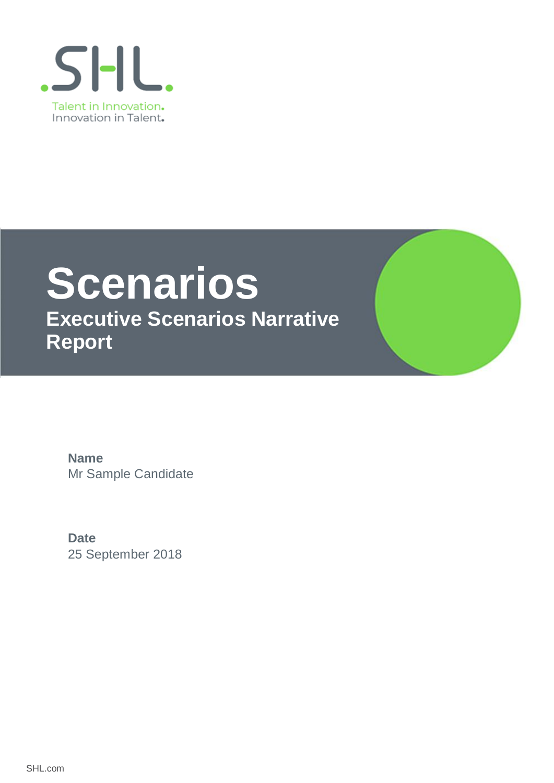

# **Scenarios**

**Executive Scenarios Narrative Report**

Mr Sample Candidate **Name**

25 September 2018 **Date**

SHL.com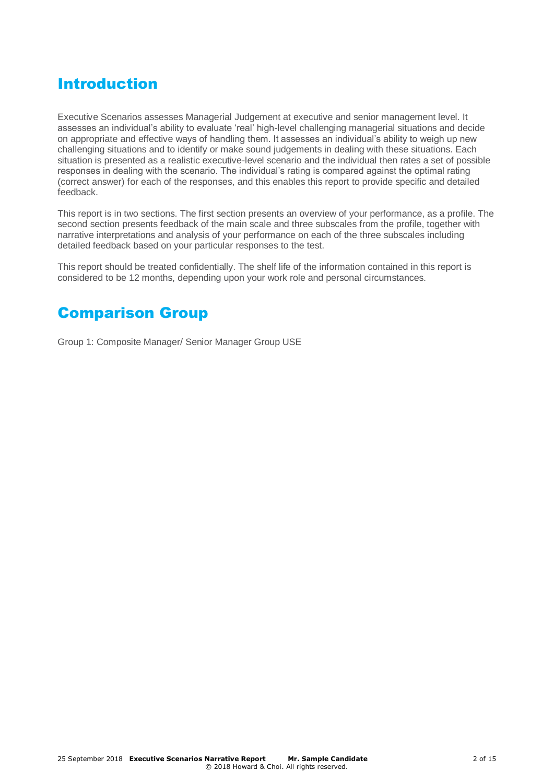## Introduction

Executive Scenarios assesses Managerial Judgement at executive and senior management level. It assesses an individual's ability to evaluate 'real' high-level challenging managerial situations and decide on appropriate and effective ways of handling them. It assesses an individual's ability to weigh up new challenging situations and to identify or make sound judgements in dealing with these situations. Each situation is presented as a realistic executive-level scenario and the individual then rates a set of possible responses in dealing with the scenario. The individual's rating is compared against the optimal rating (correct answer) for each of the responses, and this enables this report to provide specific and detailed feedback.

This report is in two sections. The first section presents an overview of your performance, as a profile. The second section presents feedback of the main scale and three subscales from the profile, together with narrative interpretations and analysis of your performance on each of the three subscales including detailed feedback based on your particular responses to the test.

This report should be treated confidentially. The shelf life of the information contained in this report is considered to be 12 months, depending upon your work role and personal circumstances.

## Comparison Group

Group 1: Composite Manager/ Senior Manager Group USE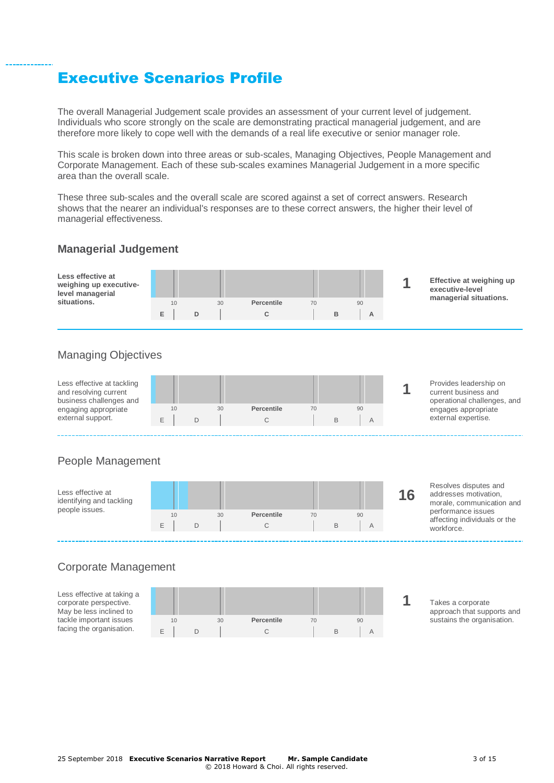## Executive Scenarios Profile

The overall Managerial Judgement scale provides an assessment of your current level of judgement. Individuals who score strongly on the scale are demonstrating practical managerial judgement, and are therefore more likely to cope well with the demands of a real life executive or senior manager role.

This scale is broken down into three areas or sub-scales, Managing Objectives, People Management and Corporate Management. Each of these sub-scales examines Managerial Judgement in a more specific area than the overall scale.

These three sub-scales and the overall scale are scored against a set of correct answers. Research shows that the nearer an individual's responses are to these correct answers, the higher their level of managerial effectiveness.

### **Managerial Judgement**

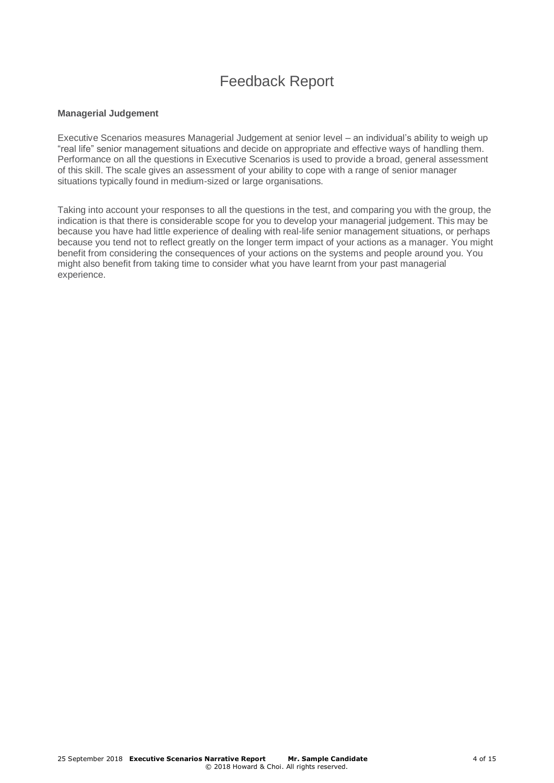## Feedback Report

#### **Managerial Judgement**

Executive Scenarios measures Managerial Judgement at senior level – an individual's ability to weigh up "real life" senior management situations and decide on appropriate and effective ways of handling them. Performance on all the questions in Executive Scenarios is used to provide a broad, general assessment of this skill. The scale gives an assessment of your ability to cope with a range of senior manager situations typically found in medium-sized or large organisations.

Taking into account your responses to all the questions in the test, and comparing you with the group, the indication is that there is considerable scope for you to develop your managerial judgement. This may be because you have had little experience of dealing with real-life senior management situations, or perhaps because you tend not to reflect greatly on the longer term impact of your actions as a manager. You might benefit from considering the consequences of your actions on the systems and people around you. You might also benefit from taking time to consider what you have learnt from your past managerial experience.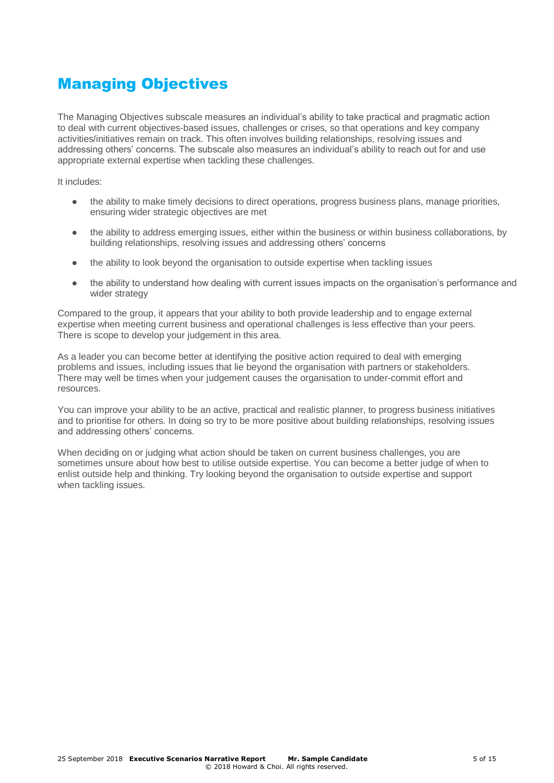## Managing Objectives

The Managing Objectives subscale measures an individual's ability to take practical and pragmatic action to deal with current objectives-based issues, challenges or crises, so that operations and key company activities/initiatives remain on track. This often involves building relationships, resolving issues and addressing others' concerns. The subscale also measures an individual's ability to reach out for and use appropriate external expertise when tackling these challenges.

It includes:

- the ability to make timely decisions to direct operations, progress business plans, manage priorities, ensuring wider strategic objectives are met
- the ability to address emerging issues, either within the business or within business collaborations, by building relationships, resolving issues and addressing others' concerns
- the ability to look beyond the organisation to outside expertise when tackling issues
- the ability to understand how dealing with current issues impacts on the organisation's performance and wider strategy

Compared to the group, it appears that your ability to both provide leadership and to engage external expertise when meeting current business and operational challenges is less effective than your peers. There is scope to develop your judgement in this area.

As a leader you can become better at identifying the positive action required to deal with emerging problems and issues, including issues that lie beyond the organisation with partners or stakeholders. There may well be times when your judgement causes the organisation to under-commit effort and resources.

You can improve your ability to be an active, practical and realistic planner, to progress business initiatives and to prioritise for others. In doing so try to be more positive about building relationships, resolving issues and addressing others' concerns.

When deciding on or judging what action should be taken on current business challenges, you are sometimes unsure about how best to utilise outside expertise. You can become a better judge of when to enlist outside help and thinking. Try looking beyond the organisation to outside expertise and support when tackling issues.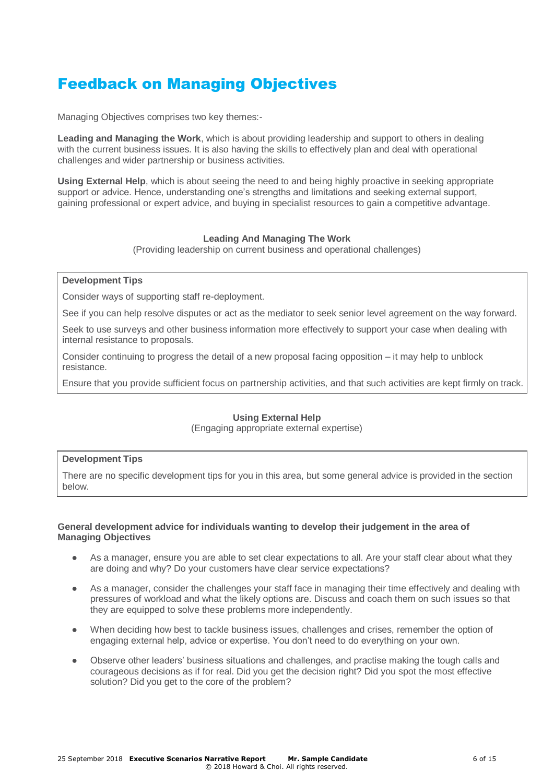## Feedback on Managing Objectives

Managing Objectives comprises two key themes:-

**Leading and Managing the Work**, which is about providing leadership and support to others in dealing with the current business issues. It is also having the skills to effectively plan and deal with operational challenges and wider partnership or business activities.

**Using External Help**, which is about seeing the need to and being highly proactive in seeking appropriate support or advice. Hence, understanding one's strengths and limitations and seeking external support, gaining professional or expert advice, and buying in specialist resources to gain a competitive advantage.

#### **Leading And Managing The Work**

(Providing leadership on current business and operational challenges)

#### **Development Tips**

Consider ways of supporting staff re-deployment.

See if you can help resolve disputes or act as the mediator to seek senior level agreement on the way forward.

Seek to use surveys and other business information more effectively to support your case when dealing with internal resistance to proposals.

Consider continuing to progress the detail of a new proposal facing opposition – it may help to unblock resistance.

Ensure that you provide sufficient focus on partnership activities, and that such activities are kept firmly on track.

#### **Using External Help**

(Engaging appropriate external expertise)

#### **Development Tips**

There are no specific development tips for you in this area, but some general advice is provided in the section below.

#### **General development advice for individuals wanting to develop their judgement in the area of Managing Objectives**

- As a manager, ensure you are able to set clear expectations to all. Are your staff clear about what they are doing and why? Do your customers have clear service expectations?
- **●** As a manager, consider the challenges your staff face in managing their time effectively and dealing with pressures of workload and what the likely options are. Discuss and coach them on such issues so that they are equipped to solve these problems more independently.
- When deciding how best to tackle business issues, challenges and crises, remember the option of engaging external help, advice or expertise. You don't need to do everything on your own.
- **●** Observe other leaders' business situations and challenges, and practise making the tough calls and courageous decisions as if for real. Did you get the decision right? Did you spot the most effective solution? Did you get to the core of the problem?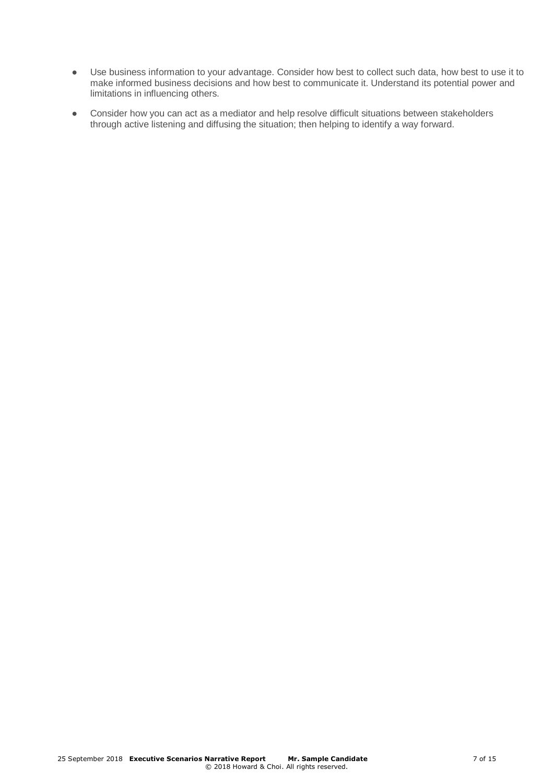- **●** Use business information to your advantage. Consider how best to collect such data, how best to use it to make informed business decisions and how best to communicate it. Understand its potential power and limitations in influencing others.
- **●** Consider how you can act as a mediator and help resolve difficult situations between stakeholders through active listening and diffusing the situation; then helping to identify a way forward.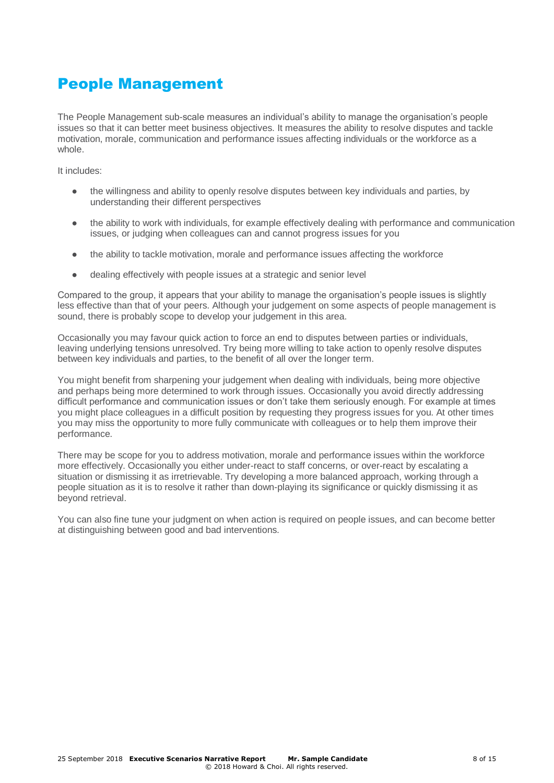## People Management

The People Management sub-scale measures an individual's ability to manage the organisation's people issues so that it can better meet business objectives. It measures the ability to resolve disputes and tackle motivation, morale, communication and performance issues affecting individuals or the workforce as a whole.

It includes:

- the willingness and ability to openly resolve disputes between key individuals and parties, by understanding their different perspectives
- the ability to work with individuals, for example effectively dealing with performance and communication issues, or judging when colleagues can and cannot progress issues for you
- the ability to tackle motivation, morale and performance issues affecting the workforce
- dealing effectively with people issues at a strategic and senior level

Compared to the group, it appears that your ability to manage the organisation's people issues is slightly less effective than that of your peers. Although your judgement on some aspects of people management is sound, there is probably scope to develop your judgement in this area.

Occasionally you may favour quick action to force an end to disputes between parties or individuals, leaving underlying tensions unresolved. Try being more willing to take action to openly resolve disputes between key individuals and parties, to the benefit of all over the longer term.

You might benefit from sharpening your judgement when dealing with individuals, being more objective and perhaps being more determined to work through issues. Occasionally you avoid directly addressing difficult performance and communication issues or don't take them seriously enough. For example at times you might place colleagues in a difficult position by requesting they progress issues for you. At other times you may miss the opportunity to more fully communicate with colleagues or to help them improve their performance.

There may be scope for you to address motivation, morale and performance issues within the workforce more effectively. Occasionally you either under-react to staff concerns, or over-react by escalating a situation or dismissing it as irretrievable. Try developing a more balanced approach, working through a people situation as it is to resolve it rather than down-playing its significance or quickly dismissing it as beyond retrieval.

You can also fine tune your judgment on when action is required on people issues, and can become better at distinguishing between good and bad interventions.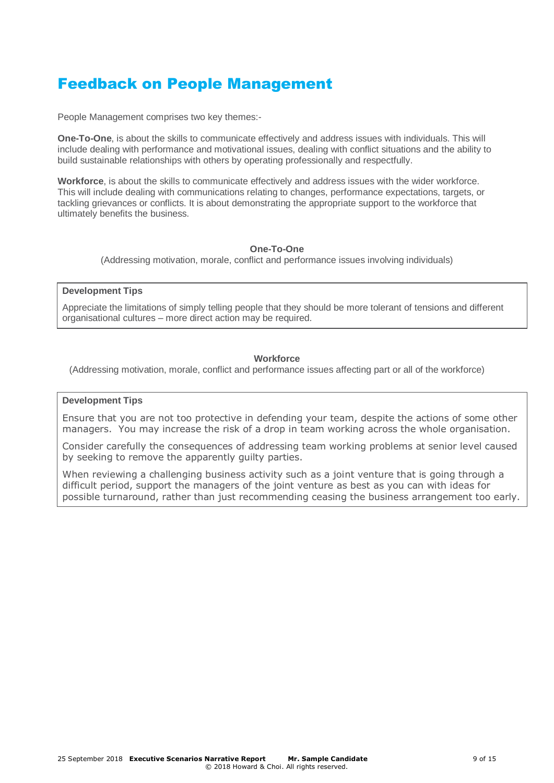## Feedback on People Management

People Management comprises two key themes:-

**One-To-One**, is about the skills to communicate effectively and address issues with individuals. This will include dealing with performance and motivational issues, dealing with conflict situations and the ability to build sustainable relationships with others by operating professionally and respectfully.

**Workforce**, is about the skills to communicate effectively and address issues with the wider workforce. This will include dealing with communications relating to changes, performance expectations, targets, or tackling grievances or conflicts. It is about demonstrating the appropriate support to the workforce that ultimately benefits the business.

#### **One-To-One**

(Addressing motivation, morale, conflict and performance issues involving individuals)

#### **Development Tips**

Appreciate the limitations of simply telling people that they should be more tolerant of tensions and different organisational cultures – more direct action may be required.

#### **Workforce**

(Addressing motivation, morale, conflict and performance issues affecting part or all of the workforce)

#### **Development Tips**

Ensure that you are not too protective in defending your team, despite the actions of some other managers. You may increase the risk of a drop in team working across the whole organisation.

Consider carefully the consequences of addressing team working problems at senior level caused by seeking to remove the apparently guilty parties.

When reviewing a challenging business activity such as a joint venture that is going through a difficult period, support the managers of the joint venture as best as you can with ideas for possible turnaround, rather than just recommending ceasing the business arrangement too early.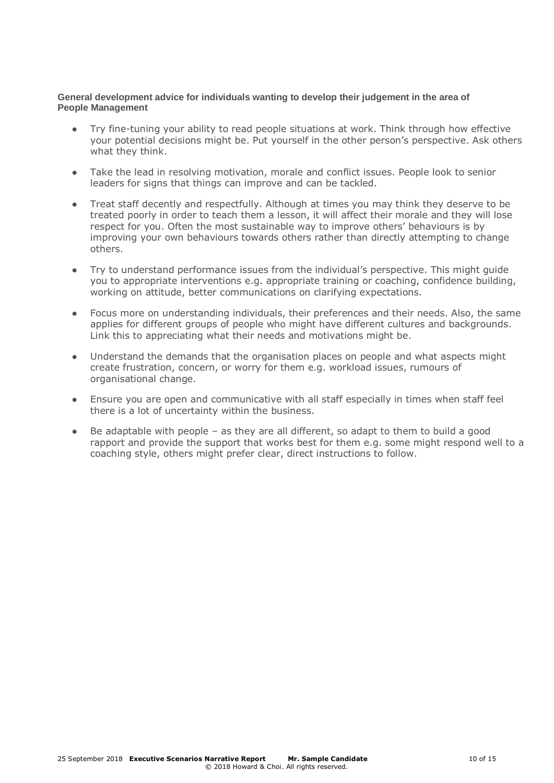#### **General development advice for individuals wanting to develop their judgement in the area of People Management**

- **●** Try fine-tuning your ability to read people situations at work. Think through how effective your potential decisions might be. Put yourself in the other person's perspective. Ask others what they think.
- **●** Take the lead in resolving motivation, morale and conflict issues. People look to senior leaders for signs that things can improve and can be tackled.
- **●** Treat staff decently and respectfully. Although at times you may think they deserve to be treated poorly in order to teach them a lesson, it will affect their morale and they will lose respect for you. Often the most sustainable way to improve others' behaviours is by improving your own behaviours towards others rather than directly attempting to change others.
- **●** Try to understand performance issues from the individual's perspective. This might guide you to appropriate interventions e.g. appropriate training or coaching, confidence building, working on attitude, better communications on clarifying expectations.
- **●** Focus more on understanding individuals, their preferences and their needs. Also, the same applies for different groups of people who might have different cultures and backgrounds. Link this to appreciating what their needs and motivations might be.
- **●** Understand the demands that the organisation places on people and what aspects might create frustration, concern, or worry for them e.g. workload issues, rumours of organisational change.
- **●** Ensure you are open and communicative with all staff especially in times when staff feel there is a lot of uncertainty within the business.
- **●** Be adaptable with people as they are all different, so adapt to them to build a good rapport and provide the support that works best for them e.g. some might respond well to a coaching style, others might prefer clear, direct instructions to follow.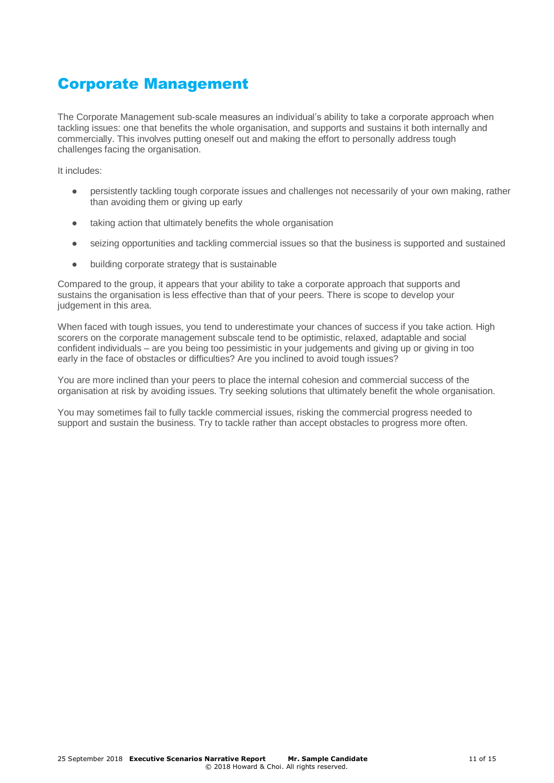## Corporate Management

The Corporate Management sub-scale measures an individual's ability to take a corporate approach when tackling issues: one that benefits the whole organisation, and supports and sustains it both internally and commercially. This involves putting oneself out and making the effort to personally address tough challenges facing the organisation.

It includes:

- persistently tackling tough corporate issues and challenges not necessarily of your own making, rather than avoiding them or giving up early
- taking action that ultimately benefits the whole organisation
- seizing opportunities and tackling commercial issues so that the business is supported and sustained
- building corporate strategy that is sustainable

Compared to the group, it appears that your ability to take a corporate approach that supports and sustains the organisation is less effective than that of your peers. There is scope to develop your judgement in this area.

When faced with tough issues, you tend to underestimate your chances of success if you take action. High scorers on the corporate management subscale tend to be optimistic, relaxed, adaptable and social confident individuals – are you being too pessimistic in your judgements and giving up or giving in too early in the face of obstacles or difficulties? Are you inclined to avoid tough issues?

You are more inclined than your peers to place the internal cohesion and commercial success of the organisation at risk by avoiding issues. Try seeking solutions that ultimately benefit the whole organisation.

You may sometimes fail to fully tackle commercial issues, risking the commercial progress needed to support and sustain the business. Try to tackle rather than accept obstacles to progress more often.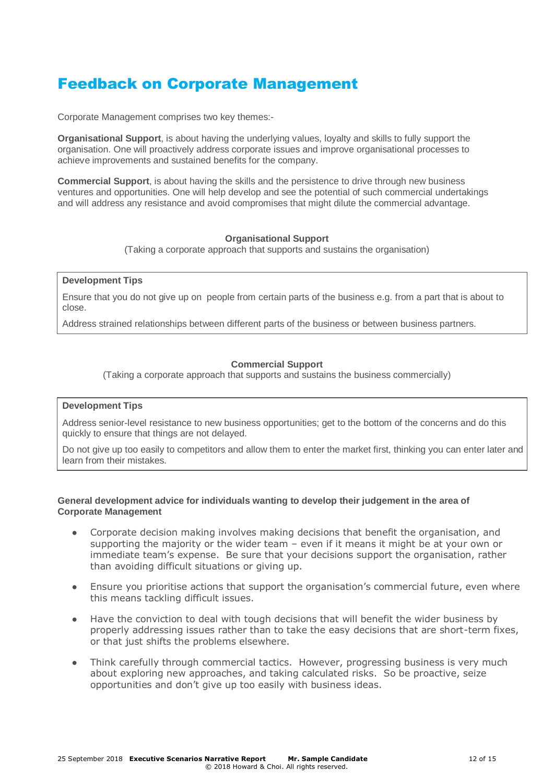## Feedback on Corporate Management

Corporate Management comprises two key themes:-

**Organisational Support**, is about having the underlying values, loyalty and skills to fully support the organisation. One will proactively address corporate issues and improve organisational processes to achieve improvements and sustained benefits for the company.

**Commercial Support**, is about having the skills and the persistence to drive through new business ventures and opportunities. One will help develop and see the potential of such commercial undertakings and will address any resistance and avoid compromises that might dilute the commercial advantage.

#### **Organisational Support**

(Taking a corporate approach that supports and sustains the organisation)

#### **Development Tips**

Ensure that you do not give up on people from certain parts of the business e.g. from a part that is about to close.

Address strained relationships between different parts of the business or between business partners.

#### **Commercial Support**

(Taking a corporate approach that supports and sustains the business commercially)

#### **Development Tips**

Address senior-level resistance to new business opportunities; get to the bottom of the concerns and do this quickly to ensure that things are not delayed.

Do not give up too easily to competitors and allow them to enter the market first, thinking you can enter later and learn from their mistakes.

#### **General development advice for individuals wanting to develop their judgement in the area of Corporate Management**

- **●** Corporate decision making involves making decisions that benefit the organisation, and supporting the majority or the wider team – even if it means it might be at your own or immediate team's expense. Be sure that your decisions support the organisation, rather than avoiding difficult situations or giving up.
- Ensure you prioritise actions that support the organisation's commercial future, even where this means tackling difficult issues.
- **●** Have the conviction to deal with tough decisions that will benefit the wider business by properly addressing issues rather than to take the easy decisions that are short-term fixes, or that just shifts the problems elsewhere.
- Think carefully through commercial tactics. However, progressing business is very much about exploring new approaches, and taking calculated risks. So be proactive, seize opportunities and don't give up too easily with business ideas.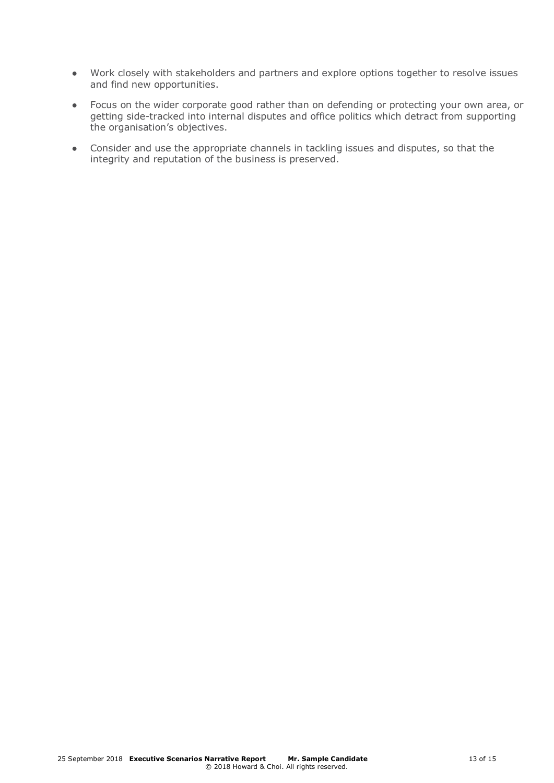- **●** Work closely with stakeholders and partners and explore options together to resolve issues and find new opportunities.
- **●** Focus on the wider corporate good rather than on defending or protecting your own area, or getting side-tracked into internal disputes and office politics which detract from supporting the organisation's objectives.
- **●** Consider and use the appropriate channels in tackling issues and disputes, so that the integrity and reputation of the business is preserved.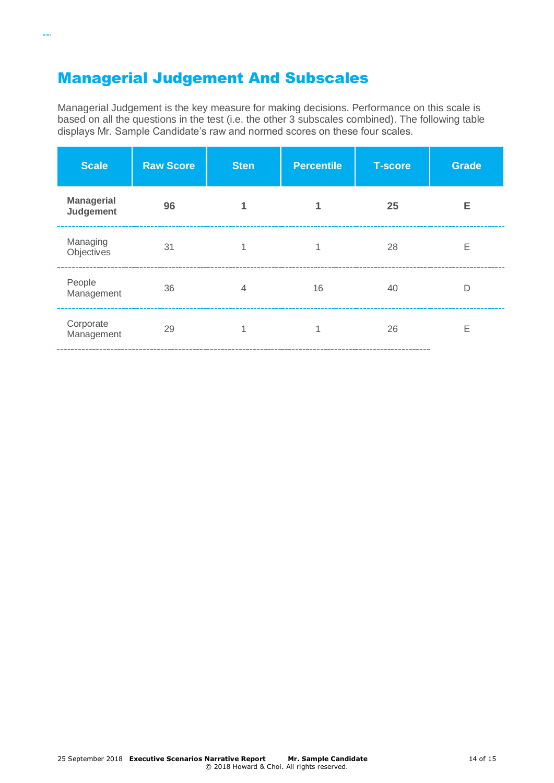## Managerial Judgement And Subscales

 $\sim$ 

Managerial Judgement is the key measure for making decisions. Performance on this scale is based on all the questions in the test (i.e. the other 3 subscales combined). The following table displays Mr. Sample Candidate's raw and normed scores on these four scales.

| <b>Scale</b>                   | <b>Raw Score</b> | <b>Sten</b>    | <b>Percentile</b> | <b>T-score</b> | Grade |
|--------------------------------|------------------|----------------|-------------------|----------------|-------|
| <b>Managerial</b><br>Judgement | 96               |                |                   | 25             | Е     |
| Managing<br>Objectives         | 31               |                | 1                 | 28             | Ε     |
| People<br>Management           | 36               | $\overline{4}$ | 16                | 40             | D     |
| Corporate<br>Management        | 29               |                | 4                 | 26             | E     |